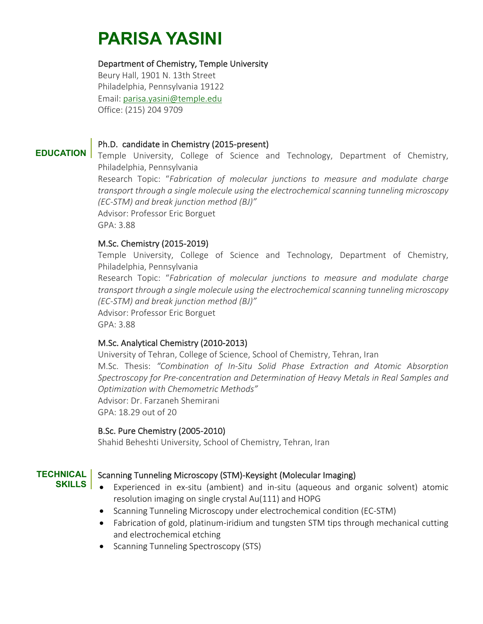# **PARISA YASINI**

# Department of Chemistry, Temple University

Beury Hall, 1901 N. 13th Street Philadelphia, Pennsylvania 19122 Email: parisa.yasini@temple.edu Office: (215) 204 9709

#### **EDUCATION** Ph.D. candidate in Chemistry (2015-present)

Temple University, College of Science and Technology, Department of Chemistry, Philadelphia, Pennsylvania

Research Topic: "*Fabrication of molecular junctions to measure and modulate charge transport through a single molecule using the electrochemical scanning tunneling microscopy (EC-STM) and break junction method (BJ)"* Advisor: Professor Eric Borguet GPA: 3.88

# M.Sc. Chemistry (2015-2019)

Temple University, College of Science and Technology, Department of Chemistry, Philadelphia, Pennsylvania

Research Topic: "*Fabrication of molecular junctions to measure and modulate charge transport through a single molecule using the electrochemical scanning tunneling microscopy (EC-STM) and break junction method (BJ)"* Advisor: Professor Eric Borguet GPA: 3.88

# M.Sc. Analytical Chemistry (2010-2013)

University of Tehran, College of Science, School of Chemistry, Tehran, Iran M.Sc. Thesis: *"Combination of In-Situ Solid Phase Extraction and Atomic Absorption Spectroscopy for Pre-concentration and Determination of Heavy Metals in Real Samples and Optimization with Chemometric Methods"* Advisor: Dr. Farzaneh Shemirani GPA: 18.29 out of 20

# B.Sc. Pure Chemistry (2005-2010)

Shahid Beheshti University, School of Chemistry, Tehran, Iran

#### **TECHNICAL SKILLS**

# Scanning Tunneling Microscopy (STM)-Keysight (Molecular Imaging)

- Experienced in ex-situ (ambient) and in-situ (aqueous and organic solvent) atomic resolution imaging on single crystal Au(111) and HOPG
	- Scanning Tunneling Microscopy under electrochemical condition (EC-STM)
	- Fabrication of gold, platinum-iridium and tungsten STM tips through mechanical cutting and electrochemical etching
	- Scanning Tunneling Spectroscopy (STS)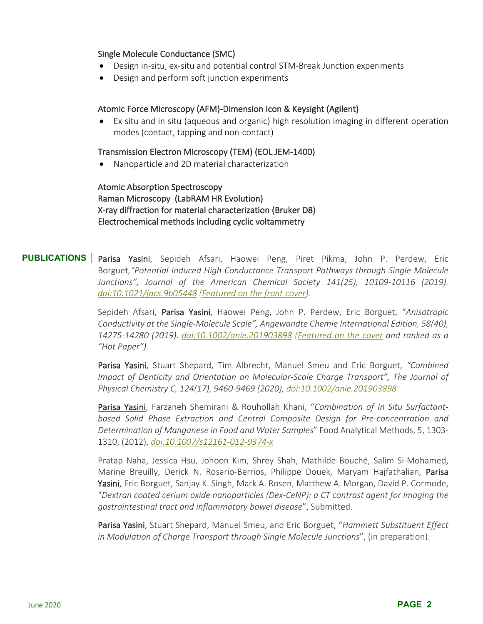#### Single Molecule Conductance (SMC)

- Design in-situ, ex-situ and potential control STM-Break Junction experiments
- Design and perform soft junction experiments

#### Atomic Force Microscopy (AFM)-Dimension Icon & Keysight (Agilent)

• Ex situ and in situ (aqueous and organic) high resolution imaging in different operation modes (contact, tapping and non-contact)

#### Transmission Electron Microscopy (TEM) (EOL JEM-1400)

• Nanoparticle and 2D material characterization

Atomic Absorption Spectroscopy Raman Microscopy (LabRAM HR Evolution) X-ray diffraction for material characterization (Bruker D8) Electrochemical methods including cyclic voltammetry

# **PUBLICATIONS** Parisa Yasini, Sepideh Afsari, Haowei Peng, Piret Pikma, John P. Perdew, Eric Borguet*,"Potential-Induced High-Conductance Transport Pathways through Single-Molecule Junctions", Journal of the American Chemical Society 141(25), 10109-10116 (2019). doi:10.1021/jacs.9b05448 (Featured on the front cover).*

Sepideh Afsari, Parisa Yasini, Haowei Peng, John P. Perdew, Eric Borguet, "*Anisotropic Conductivity at the Single-Molecule Scale", Angewandte Chemie International Edition, 58(40), 14275-14280 (2019). doi:10.1002/anie.201903898 (Featured on the cover and ranked as a "Hot Paper").*

Parisa Yasini, Stuart Shepard, Tim Albrecht, Manuel Smeu and Eric Borguet, *"Combined Impact of Denticity and Orientation on Molecular-Scale Charge Transport", The Journal of Physical Chemistry C, 124(17), 9460-9469 (2020), doi:10.1002/anie.201903898*

Parisa Yasini, Farzaneh Shemirani & Rouhollah Khani, "*Combination of In Situ Surfactantbased Solid Phase Extraction and Central Composite Design for Pre-concentration and Determination of Manganese in Food and Water Samples*" Food Analytical Methods, 5, 1303- 1310, (2012), *doi:10.1007/s12161-012-9374-x*

Pratap Naha, Jessica Hsu, Johoon Kim, Shrey Shah, Mathilde Bouché, Salim Si-Mohamed, Marine Breuilly, Derick N. Rosario-Berrios, Philippe Douek, Maryam Hajfathalian, Parisa Yasini, Eric Borguet, Sanjay K. Singh, Mark A. Rosen, Matthew A. Morgan, David P. Cormode, "*Dextran coated cerium oxide nanoparticles (Dex-CeNP): a CT contrast agent for imaging the gastrointestinal tract and inflammatory bowel disease*", Submitted.

Parisa Yasini, Stuart Shepard, Manuel Smeu, and Eric Borguet, "*Hammett Substituent Effect in Modulation of Charge Transport through Single Molecule Junctions*", (in preparation).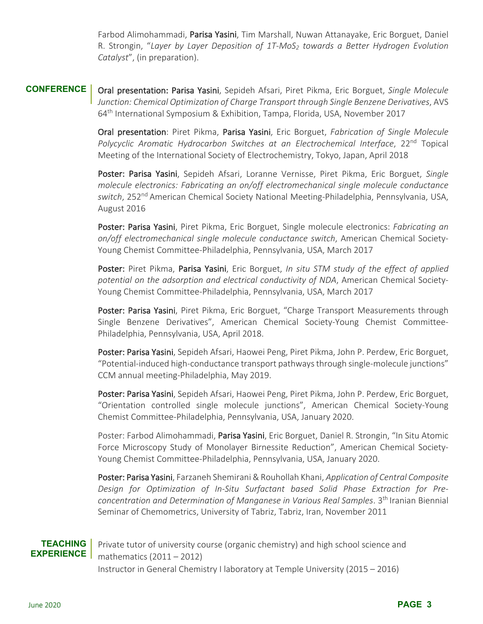Farbod Alimohammadi, Parisa Yasini, Tim Marshall, Nuwan Attanayake, Eric Borguet, Daniel R. Strongin, "*Layer by Layer Deposition of 1T-MoS2 towards a Better Hydrogen Evolution Catalyst*", (in preparation).

**CONFERENCE** Oral presentation: Parisa Yasini, Sepideh Afsari, Piret Pikma, Eric Borguet, *Single Molecule Junction: Chemical Optimization of Charge Transport through Single Benzene Derivatives*, AVS 64th International Symposium & Exhibition, Tampa, Florida, USA, November 2017

> Oral presentation: Piret Pikma, Parisa Yasini, Eric Borguet, *Fabrication of Single Molecule*  Polycyclic Aromatic Hydrocarbon Switches at an Electrochemical Interface, 22<sup>nd</sup> Topical Meeting of the International Society of Electrochemistry, Tokyo, Japan, April 2018

> Poster: Parisa Yasini, Sepideh Afsari, Loranne Vernisse, Piret Pikma, Eric Borguet, *Single molecule electronics: Fabricating an on/off electromechanical single molecule conductance switch*, 252nd American Chemical Society National Meeting-Philadelphia, Pennsylvania, USA, August 2016

> Poster: Parisa Yasini, Piret Pikma, Eric Borguet, Single molecule electronics: *Fabricating an on/off electromechanical single molecule conductance switch*, American Chemical Society-Young Chemist Committee-Philadelphia, Pennsylvania, USA, March 2017

> Poster: Piret Pikma, Parisa Yasini, Eric Borguet, *In situ STM study of the effect of applied potential on the adsorption and electrical conductivity of NDA*, American Chemical Society-Young Chemist Committee-Philadelphia, Pennsylvania, USA, March 2017

> Poster: Parisa Yasini, Piret Pikma, Eric Borguet, "Charge Transport Measurements through Single Benzene Derivatives", American Chemical Society-Young Chemist Committee-Philadelphia, Pennsylvania, USA, April 2018.

> Poster: Parisa Yasini, Sepideh Afsari, Haowei Peng, Piret Pikma, John P. Perdew, Eric Borguet, "Potential-induced high-conductance transport pathways through single-molecule junctions" CCM annual meeting-Philadelphia, May 2019.

> Poster: Parisa Yasini, Sepideh Afsari, Haowei Peng, Piret Pikma, John P. Perdew, Eric Borguet, "Orientation controlled single molecule junctions", American Chemical Society-Young Chemist Committee-Philadelphia, Pennsylvania, USA, January 2020.

> Poster: Farbod Alimohammadi, Parisa Yasini, Eric Borguet, Daniel R. Strongin, "In Situ Atomic Force Microscopy Study of Monolayer Birnessite Reduction", American Chemical Society-Young Chemist Committee-Philadelphia, Pennsylvania, USA, January 2020.

> Poster: Parisa Yasini, Farzaneh Shemirani & Rouhollah Khani, *Application of Central Composite Design for Optimization of In-Situ Surfactant based Solid Phase Extraction for Preconcentration and Determination of Manganese in Various Real Samples*. 3th Iranian Biennial Seminar of Chemometrics, University of Tabriz, Tabriz, Iran, November 2011

#### **TEACHING EXPERIENCE**

Private tutor of university course (organic chemistry) and high school science and mathematics (2011 – 2012) Instructor in General Chemistry I laboratory at Temple University (2015 – 2016)